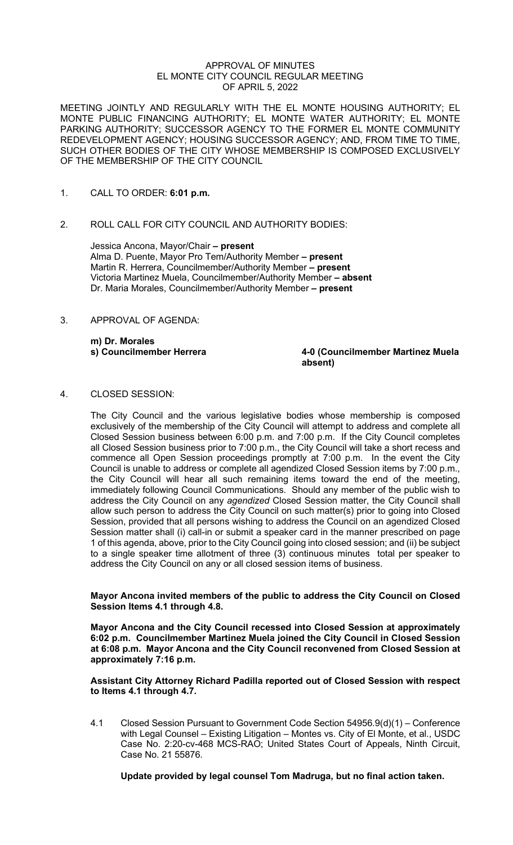#### APPROVAL OF MINUTES EL MONTE CITY COUNCIL REGULAR MEETING OF APRIL 5, 2022

MEETING JOINTLY AND REGULARLY WITH THE EL MONTE HOUSING AUTHORITY; EL MONTE PUBLIC FINANCING AUTHORITY; EL MONTE WATER AUTHORITY; EL MONTE PARKING AUTHORITY; SUCCESSOR AGENCY TO THE FORMER EL MONTE COMMUNITY REDEVELOPMENT AGENCY; HOUSING SUCCESSOR AGENCY; AND, FROM TIME TO TIME, SUCH OTHER BODIES OF THE CITY WHOSE MEMBERSHIP IS COMPOSED EXCLUSIVELY OF THE MEMBERSHIP OF THE CITY COUNCIL

- 1. CALL TO ORDER: **6:01 p.m.**
- 2. ROLL CALL FOR CITY COUNCIL AND AUTHORITY BODIES:

Jessica Ancona, Mayor/Chair **– present**  Alma D. Puente, Mayor Pro Tem/Authority Member **– present** Martin R. Herrera, Councilmember/Authority Member **– present** Victoria Martinez Muela, Councilmember/Authority Member **– absent** Dr. Maria Morales, Councilmember/Authority Member **– present**

3. APPROVAL OF AGENDA:

**m) Dr. Morales**

**s) Councilmember Herrera 4-0 (Councilmember Martinez Muela absent)**

4. CLOSED SESSION:

The City Council and the various legislative bodies whose membership is composed exclusively of the membership of the City Council will attempt to address and complete all Closed Session business between 6:00 p.m. and 7:00 p.m. If the City Council completes all Closed Session business prior to 7:00 p.m., the City Council will take a short recess and commence all Open Session proceedings promptly at 7:00 p.m. In the event the City Council is unable to address or complete all agendized Closed Session items by 7:00 p.m., the City Council will hear all such remaining items toward the end of the meeting, immediately following Council Communications. Should any member of the public wish to address the City Council on any *agendized* Closed Session matter, the City Council shall allow such person to address the City Council on such matter(s) prior to going into Closed Session, provided that all persons wishing to address the Council on an agendized Closed Session matter shall (i) call-in or submit a speaker card in the manner prescribed on page 1 of this agenda, above, prior to the City Council going into closed session; and (ii) be subject to a single speaker time allotment of three (3) continuous minutes total per speaker to address the City Council on any or all closed session items of business.

**Mayor Ancona invited members of the public to address the City Council on Closed Session Items 4.1 through 4.8.** 

**Mayor Ancona and the City Council recessed into Closed Session at approximately 6:02 p.m. Councilmember Martinez Muela joined the City Council in Closed Session at 6:08 p.m. Mayor Ancona and the City Council reconvened from Closed Session at approximately 7:16 p.m.**

# **Assistant City Attorney Richard Padilla reported out of Closed Session with respect to Items 4.1 through 4.7.**

4.1 Closed Session Pursuant to Government Code Section 54956.9(d)(1) – Conference with Legal Counsel – Existing Litigation – Montes vs. City of El Monte, et al., USDC Case No. 2:20-cv-468 MCS-RAO; United States Court of Appeals, Ninth Circuit, Case No. 21 55876.

**Update provided by legal counsel Tom Madruga, but no final action taken.**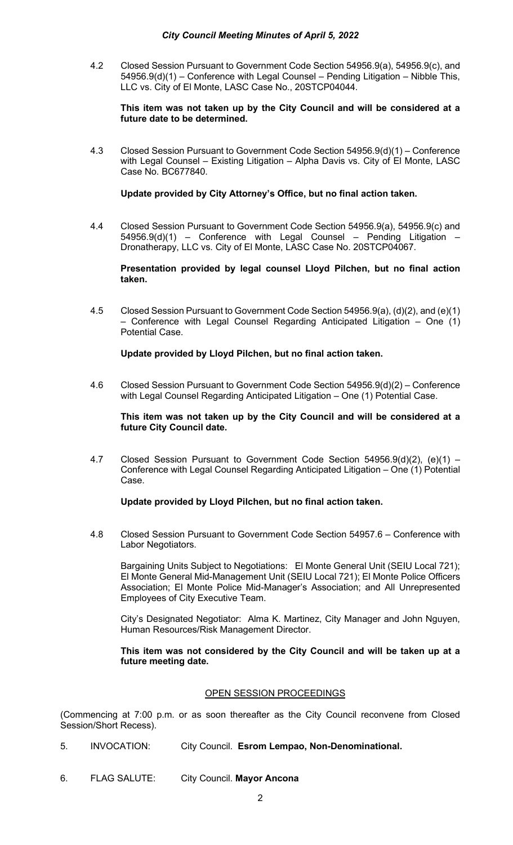4.2 Closed Session Pursuant to Government Code Section 54956.9(a), 54956.9(c), and 54956.9(d)(1) – Conference with Legal Counsel – Pending Litigation – Nibble This, LLC vs. City of El Monte, LASC Case No., 20STCP04044.

**This item was not taken up by the City Council and will be considered at a future date to be determined.**

4.3 Closed Session Pursuant to Government Code Section 54956.9(d)(1) – Conference with Legal Counsel – Existing Litigation – Alpha Davis vs. City of El Monte, LASC Case No. BC677840.

# **Update provided by City Attorney's Office, but no final action taken.**

4.4 Closed Session Pursuant to Government Code Section 54956.9(a), 54956.9(c) and 54956.9(d)(1) – Conference with Legal Counsel – Pending Litigation – Dronatherapy, LLC vs. City of El Monte, LASC Case No. 20STCP04067.

**Presentation provided by legal counsel Lloyd Pilchen, but no final action taken.**

4.5 Closed Session Pursuant to Government Code Section 54956.9(a), (d)(2), and (e)(1) – Conference with Legal Counsel Regarding Anticipated Litigation – One (1) Potential Case.

# **Update provided by Lloyd Pilchen, but no final action taken.**

4.6 Closed Session Pursuant to Government Code Section 54956.9(d)(2) – Conference with Legal Counsel Regarding Anticipated Litigation – One (1) Potential Case.

**This item was not taken up by the City Council and will be considered at a future City Council date.**

4.7 Closed Session Pursuant to Government Code Section 54956.9(d)(2), (e)(1) – Conference with Legal Counsel Regarding Anticipated Litigation – One (1) Potential Case.

# **Update provided by Lloyd Pilchen, but no final action taken.**

4.8 Closed Session Pursuant to Government Code Section 54957.6 – Conference with Labor Negotiators.

Bargaining Units Subject to Negotiations: El Monte General Unit (SEIU Local 721); El Monte General Mid-Management Unit (SEIU Local 721); El Monte Police Officers Association; El Monte Police Mid-Manager's Association; and All Unrepresented Employees of City Executive Team.

City's Designated Negotiator: Alma K. Martinez, City Manager and John Nguyen, Human Resources/Risk Management Director.

**This item was not considered by the City Council and will be taken up at a future meeting date.**

#### OPEN SESSION PROCEEDINGS

(Commencing at 7:00 p.m. or as soon thereafter as the City Council reconvene from Closed Session/Short Recess).

- 5. INVOCATION: City Council. **Esrom Lempao, Non-Denominational.**
- 6. FLAG SALUTE: City Council. **Mayor Ancona**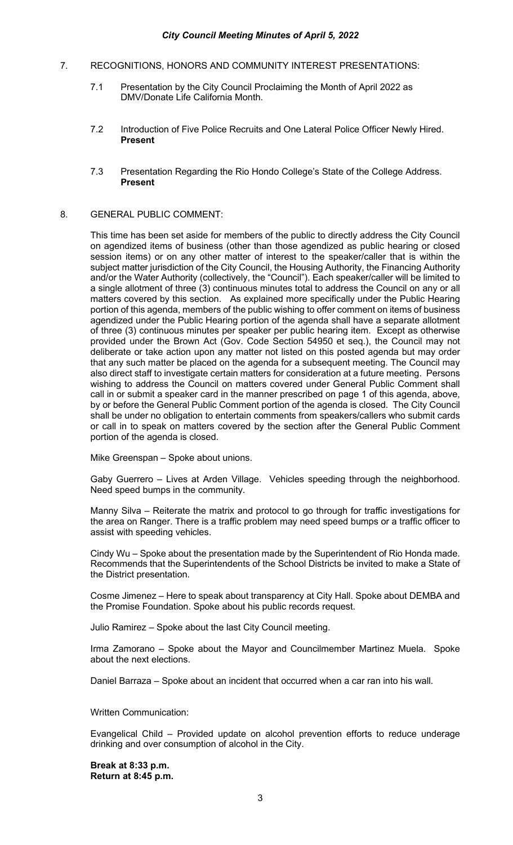- 7. RECOGNITIONS, HONORS AND COMMUNITY INTEREST PRESENTATIONS:
	- 7.1 Presentation by the City Council Proclaiming the Month of April 2022 as DMV/Donate Life California Month.
	- 7.2 Introduction of Five Police Recruits and One Lateral Police Officer Newly Hired. **Present**
	- 7.3 Presentation Regarding the Rio Hondo College's State of the College Address. **Present**

# 8. GENERAL PUBLIC COMMENT:

This time has been set aside for members of the public to directly address the City Council on agendized items of business (other than those agendized as public hearing or closed session items) or on any other matter of interest to the speaker/caller that is within the subject matter jurisdiction of the City Council, the Housing Authority, the Financing Authority and/or the Water Authority (collectively, the "Council"). Each speaker/caller will be limited to a single allotment of three (3) continuous minutes total to address the Council on any or all matters covered by this section. As explained more specifically under the Public Hearing portion of this agenda, members of the public wishing to offer comment on items of business agendized under the Public Hearing portion of the agenda shall have a separate allotment of three (3) continuous minutes per speaker per public hearing item. Except as otherwise provided under the Brown Act (Gov. Code Section 54950 et seq.), the Council may not deliberate or take action upon any matter not listed on this posted agenda but may order that any such matter be placed on the agenda for a subsequent meeting. The Council may also direct staff to investigate certain matters for consideration at a future meeting. Persons wishing to address the Council on matters covered under General Public Comment shall call in or submit a speaker card in the manner prescribed on page 1 of this agenda, above, by or before the General Public Comment portion of the agenda is closed. The City Council shall be under no obligation to entertain comments from speakers/callers who submit cards or call in to speak on matters covered by the section after the General Public Comment portion of the agenda is closed.

Mike Greenspan – Spoke about unions.

Gaby Guerrero – Lives at Arden Village. Vehicles speeding through the neighborhood. Need speed bumps in the community.

Manny Silva – Reiterate the matrix and protocol to go through for traffic investigations for the area on Ranger. There is a traffic problem may need speed bumps or a traffic officer to assist with speeding vehicles.

Cindy Wu – Spoke about the presentation made by the Superintendent of Rio Honda made. Recommends that the Superintendents of the School Districts be invited to make a State of the District presentation.

Cosme Jimenez – Here to speak about transparency at City Hall. Spoke about DEMBA and the Promise Foundation. Spoke about his public records request.

Julio Ramirez – Spoke about the last City Council meeting.

Irma Zamorano – Spoke about the Mayor and Councilmember Martinez Muela. Spoke about the next elections.

Daniel Barraza – Spoke about an incident that occurred when a car ran into his wall.

Written Communication:

Evangelical Child – Provided update on alcohol prevention efforts to reduce underage drinking and over consumption of alcohol in the City.

**Break at 8:33 p.m. Return at 8:45 p.m.**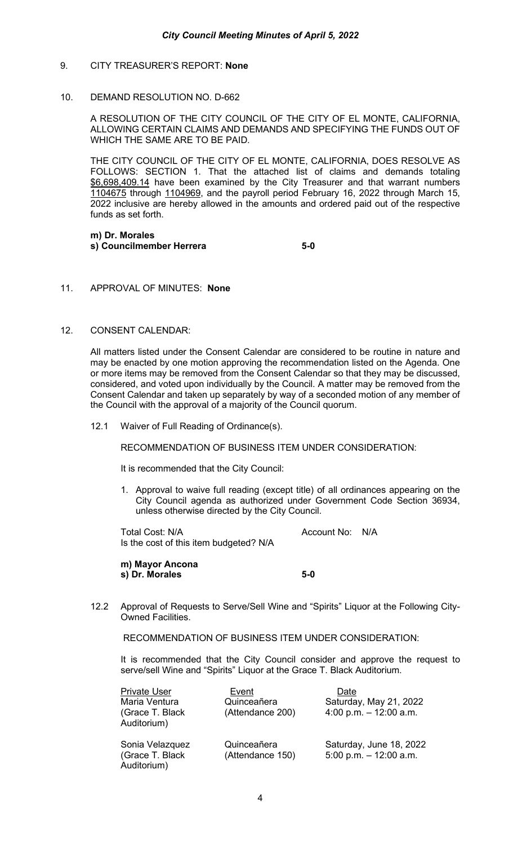# 9. CITY TREASURER'S REPORT: **None**

# 10. DEMAND RESOLUTION NO. D-662

A RESOLUTION OF THE CITY COUNCIL OF THE CITY OF EL MONTE, CALIFORNIA, ALLOWING CERTAIN CLAIMS AND DEMANDS AND SPECIFYING THE FUNDS OUT OF WHICH THE SAME ARE TO BE PAID.

THE CITY COUNCIL OF THE CITY OF EL MONTE, CALIFORNIA, DOES RESOLVE AS FOLLOWS: SECTION 1. That the attached list of claims and demands totaling \$6,698,409.14 have been examined by the City Treasurer and that warrant numbers 1104675 through 1104969, and the payroll period February 16, 2022 through March 15, 2022 inclusive are hereby allowed in the amounts and ordered paid out of the respective funds as set forth.

#### **m) Dr. Morales s) Councilmember Herrera 5-0**

# 11. APPROVAL OF MINUTES: **None**

## 12. CONSENT CALENDAR:

All matters listed under the Consent Calendar are considered to be routine in nature and may be enacted by one motion approving the recommendation listed on the Agenda. One or more items may be removed from the Consent Calendar so that they may be discussed, considered, and voted upon individually by the Council. A matter may be removed from the Consent Calendar and taken up separately by way of a seconded motion of any member of the Council with the approval of a majority of the Council quorum.

12.1 Waiver of Full Reading of Ordinance(s).

RECOMMENDATION OF BUSINESS ITEM UNDER CONSIDERATION:

It is recommended that the City Council:

1. Approval to waive full reading (except title) of all ordinances appearing on the City Council agenda as authorized under Government Code Section 36934, unless otherwise directed by the City Council.

Total Cost: N/A and Cost Count No: N/A Is the cost of this item budgeted? N/A

**m) Mayor Ancona s) Dr. Morales 5-0** 

12.2 Approval of Requests to Serve/Sell Wine and "Spirits" Liquor at the Following City-Owned Facilities.

RECOMMENDATION OF BUSINESS ITEM UNDER CONSIDERATION:

It is recommended that the City Council consider and approve the request to serve/sell Wine and "Spirits" Liquor at the Grace T. Black Auditorium.

| <b>Private User</b><br>Maria Ventura<br>(Grace T. Black<br>Auditorium) | Event<br>Quinceañera<br>(Attendance 200) | Date<br>Saturday, May 21, 2022<br>4:00 p.m. $-$ 12:00 a.m. |
|------------------------------------------------------------------------|------------------------------------------|------------------------------------------------------------|
| Sonia Velazquez<br>(Grace T. Black<br>Auditorium)                      | Quinceañera<br>(Attendance 150)          | Saturday, June 18, 2022<br>5:00 p.m. $-$ 12:00 a.m.        |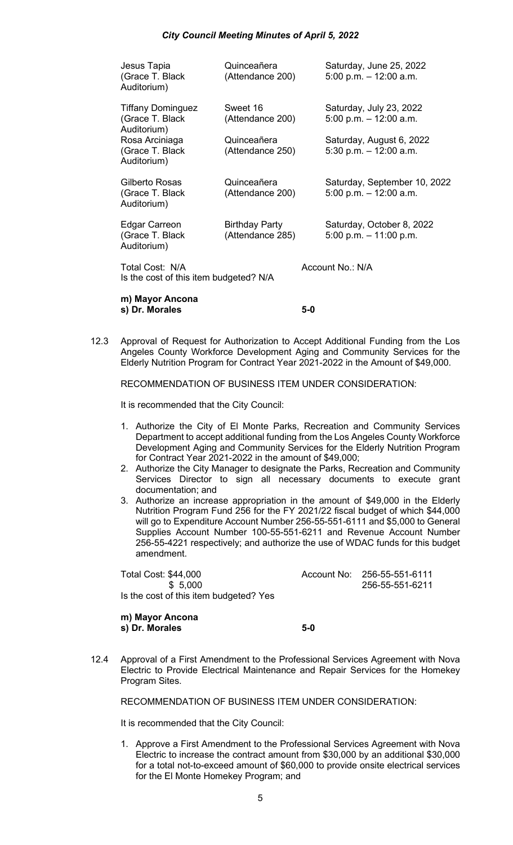| Jesus Tapia<br>(Grace T. Black)<br>Auditorium)             | Quinceañera<br>(Attendance 200)           | Saturday, June 25, 2022<br>5:00 p.m. $-$ 12:00 a.m.      |  |  |  |
|------------------------------------------------------------|-------------------------------------------|----------------------------------------------------------|--|--|--|
| <b>Tiffany Dominguez</b><br>(Grace T. Black<br>Auditorium) | Sweet 16<br>(Attendance 200)              | Saturday, July 23, 2022<br>5:00 p.m. $-$ 12:00 a.m.      |  |  |  |
| Rosa Arciniaga<br>(Grace T. Black)<br>Auditorium)          | Quinceañera<br>(Attendance 250)           | Saturday, August 6, 2022<br>5:30 p.m. $-$ 12:00 a.m.     |  |  |  |
| Gilberto Rosas<br>(Grace T. Black<br>Auditorium)           | Quinceañera<br>(Attendance 200)           | Saturday, September 10, 2022<br>5:00 p.m. $-$ 12:00 a.m. |  |  |  |
| Edgar Carreon<br>(Grace T. Black<br>Auditorium)            | <b>Birthday Party</b><br>(Attendance 285) | Saturday, October 8, 2022<br>5:00 p.m. $-11:00$ p.m.     |  |  |  |
| Total Cost: N/A<br>Is the cost of this item budgeted? N/A  |                                           | Account No.: N/A                                         |  |  |  |
|                                                            |                                           |                                                          |  |  |  |

**m) Mayor Ancona s) Dr. Morales 5-0**

12.3 Approval of Request for Authorization to Accept Additional Funding from the Los Angeles County Workforce Development Aging and Community Services for the Elderly Nutrition Program for Contract Year 2021-2022 in the Amount of \$49,000.

RECOMMENDATION OF BUSINESS ITEM UNDER CONSIDERATION:

It is recommended that the City Council:

- 1. Authorize the City of El Monte Parks, Recreation and Community Services Department to accept additional funding from the Los Angeles County Workforce Development Aging and Community Services for the Elderly Nutrition Program for Contract Year 2021-2022 in the amount of \$49,000;
- 2. Authorize the City Manager to designate the Parks, Recreation and Community Services Director to sign all necessary documents to execute grant documentation; and
- 3. Authorize an increase appropriation in the amount of \$49,000 in the Elderly Nutrition Program Fund 256 for the FY 2021/22 fiscal budget of which \$44,000 will go to Expenditure Account Number 256-55-551-6111 and \$5,000 to General Supplies Account Number 100-55-551-6211 and Revenue Account Number 256-55-4221 respectively; and authorize the use of WDAC funds for this budget amendment.

Total Cost: \$44,000 Account No: 256-55-551-6111 \$ 5,000 256-55-551-6211 Is the cost of this item budgeted? Yes

**m) Mayor Ancona s) Dr. Morales 5-0**

12.4 Approval of a First Amendment to the Professional Services Agreement with Nova Electric to Provide Electrical Maintenance and Repair Services for the Homekey Program Sites.

RECOMMENDATION OF BUSINESS ITEM UNDER CONSIDERATION:

It is recommended that the City Council:

1. Approve a First Amendment to the Professional Services Agreement with Nova Electric to increase the contract amount from \$30,000 by an additional \$30,000 for a total not-to-exceed amount of \$60,000 to provide onsite electrical services for the El Monte Homekey Program; and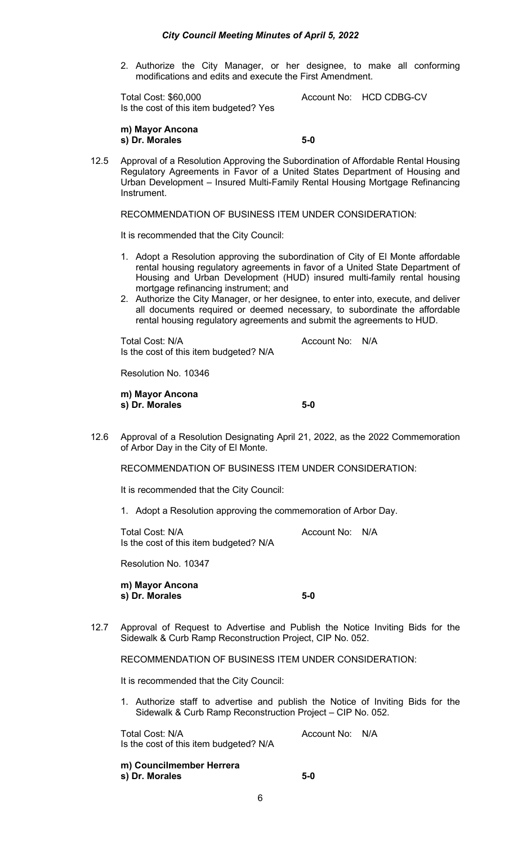2. Authorize the City Manager, or her designee, to make all conforming modifications and edits and execute the First Amendment.

Total Cost: \$60,000 Account No: HCD CDBG-CV Is the cost of this item budgeted? Yes

**m) Mayor Ancona s) Dr. Morales 5-0**

12.5 Approval of a Resolution Approving the Subordination of Affordable Rental Housing Regulatory Agreements in Favor of a United States Department of Housing and Urban Development – Insured Multi-Family Rental Housing Mortgage Refinancing Instrument.

RECOMMENDATION OF BUSINESS ITEM UNDER CONSIDERATION:

It is recommended that the City Council:

- 1. Adopt a Resolution approving the subordination of City of El Monte affordable rental housing regulatory agreements in favor of a United State Department of Housing and Urban Development (HUD) insured multi-family rental housing mortgage refinancing instrument; and
- 2. Authorize the City Manager, or her designee, to enter into, execute, and deliver all documents required or deemed necessary, to subordinate the affordable rental housing regulatory agreements and submit the agreements to HUD.

Total Cost: N/A and Cost: N/A Account No: N/A Is the cost of this item budgeted? N/A

Resolution No. 10346

**m) Mayor Ancona s) Dr. Morales 5-0**

12.6 Approval of a Resolution Designating April 21, 2022, as the 2022 Commemoration of Arbor Day in the City of El Monte.

RECOMMENDATION OF BUSINESS ITEM UNDER CONSIDERATION:

It is recommended that the City Council:

1. Adopt a Resolution approving the commemoration of Arbor Day.

Total Cost: N/A and Cost: N/A Is the cost of this item budgeted? N/A

Resolution No. 10347

**m) Mayor Ancona s) Dr. Morales 5-0**

12.7 Approval of Request to Advertise and Publish the Notice Inviting Bids for the Sidewalk & Curb Ramp Reconstruction Project, CIP No. 052.

RECOMMENDATION OF BUSINESS ITEM UNDER CONSIDERATION:

It is recommended that the City Council:

1. Authorize staff to advertise and publish the Notice of Inviting Bids for the Sidewalk & Curb Ramp Reconstruction Project – CIP No. 052.

Total Cost: N/A and Account No: N/A Is the cost of this item budgeted? N/A

**m) Councilmember Herrera s) Dr. Morales 5-0**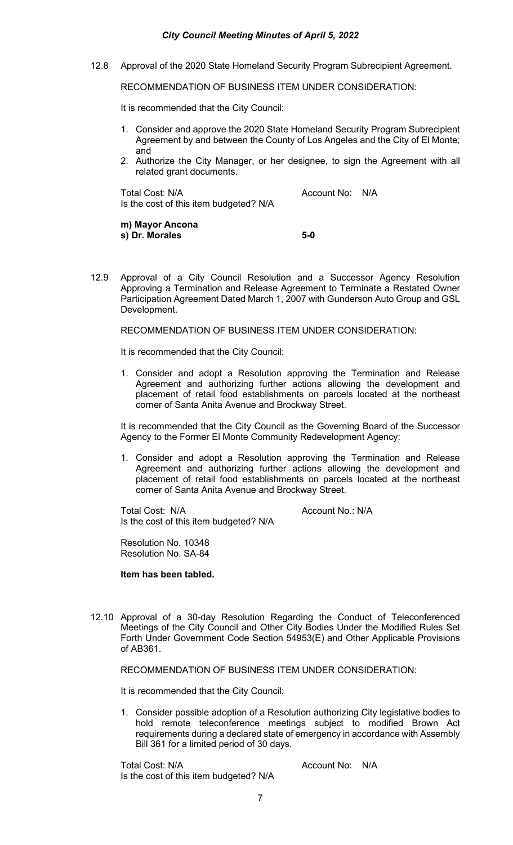12.8 Approval of the 2020 State Homeland Security Program Subrecipient Agreement.

RECOMMENDATION OF BUSINESS ITEM UNDER CONSIDERATION:

It is recommended that the City Council:

- 1. Consider and approve the 2020 State Homeland Security Program Subrecipient Agreement by and between the County of Los Angeles and the City of El Monte; and
- 2. Authorize the City Manager, or her designee, to sign the Agreement with all related grant documents.

Total Cost: N/A and Cost: N/A Account No: N/A Is the cost of this item budgeted? N/A

**m) Mayor Ancona s) Dr. Morales 5-0**

12.9 Approval of a City Council Resolution and a Successor Agency Resolution Approving a Termination and Release Agreement to Terminate a Restated Owner Participation Agreement Dated March 1, 2007 with Gunderson Auto Group and GSL Development.

RECOMMENDATION OF BUSINESS ITEM UNDER CONSIDERATION:

It is recommended that the City Council:

1. Consider and adopt a Resolution approving the Termination and Release Agreement and authorizing further actions allowing the development and placement of retail food establishments on parcels located at the northeast corner of Santa Anita Avenue and Brockway Street.

It is recommended that the City Council as the Governing Board of the Successor Agency to the Former El Monte Community Redevelopment Agency:

1. Consider and adopt a Resolution approving the Termination and Release Agreement and authorizing further actions allowing the development and placement of retail food establishments on parcels located at the northeast corner of Santa Anita Avenue and Brockway Street.

Total Cost: N/A Account No.: N/A Is the cost of this item budgeted? N/A

Resolution No. 10348 Resolution No. SA-84

#### **Item has been tabled.**

12.10 Approval of a 30-day Resolution Regarding the Conduct of Teleconferenced Meetings of the City Council and Other City Bodies Under the Modified Rules Set Forth Under Government Code Section 54953(E) and Other Applicable Provisions of AB361.

RECOMMENDATION OF BUSINESS ITEM UNDER CONSIDERATION:

It is recommended that the City Council:

1. Consider possible adoption of a Resolution authorizing City legislative bodies to hold remote teleconference meetings subject to modified Brown Act requirements during a declared state of emergency in accordance with Assembly Bill 361 for a limited period of 30 days.

Total Cost: N/A and Cost: N/A Account No: N/A Is the cost of this item budgeted? N/A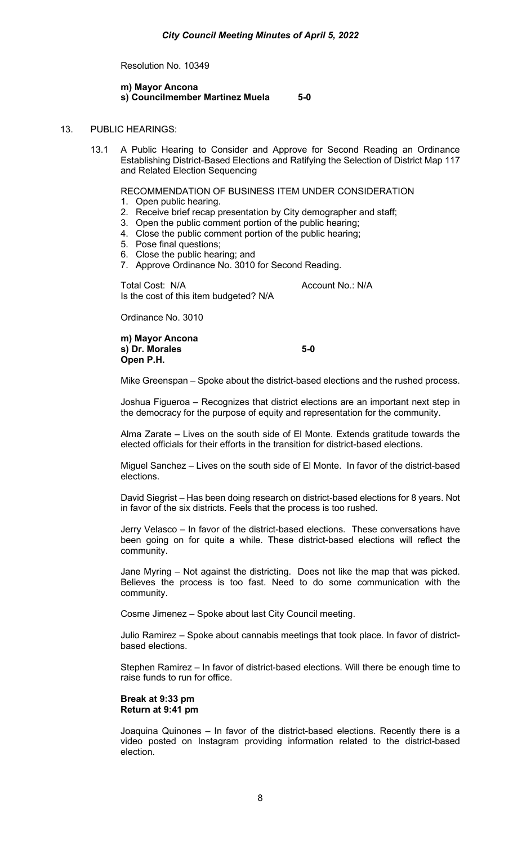Resolution No. 10349

#### **m) Mayor Ancona s) Councilmember Martinez Muela 5-0**

# 13. PUBLIC HEARINGS:

13.1 A Public Hearing to Consider and Approve for Second Reading an Ordinance Establishing District-Based Elections and Ratifying the Selection of District Map 117 and Related Election Sequencing

## RECOMMENDATION OF BUSINESS ITEM UNDER CONSIDERATION

- 1. Open public hearing.
- 2. Receive brief recap presentation by City demographer and staff;
- 3. Open the public comment portion of the public hearing;
- 4. Close the public comment portion of the public hearing;
- 5. Pose final questions;
- 6. Close the public hearing; and
- 7. Approve Ordinance No. 3010 for Second Reading.

Total Cost: N/A Account No.: N/A Is the cost of this item budgeted? N/A

Ordinance No. 3010

**m) Mayor Ancona s) Dr. Morales 5-0 Open P.H.**

Mike Greenspan – Spoke about the district-based elections and the rushed process.

Joshua Figueroa – Recognizes that district elections are an important next step in the democracy for the purpose of equity and representation for the community.

Alma Zarate – Lives on the south side of El Monte. Extends gratitude towards the elected officials for their efforts in the transition for district-based elections.

Miguel Sanchez – Lives on the south side of El Monte. In favor of the district-based elections.

David Siegrist – Has been doing research on district-based elections for 8 years. Not in favor of the six districts. Feels that the process is too rushed.

Jerry Velasco – In favor of the district-based elections. These conversations have been going on for quite a while. These district-based elections will reflect the community.

Jane Myring – Not against the districting. Does not like the map that was picked. Believes the process is too fast. Need to do some communication with the community.

Cosme Jimenez – Spoke about last City Council meeting.

Julio Ramirez – Spoke about cannabis meetings that took place. In favor of districtbased elections.

Stephen Ramirez – In favor of district-based elections. Will there be enough time to raise funds to run for office.

**Break at 9:33 pm Return at 9:41 pm**

Joaquina Quinones – In favor of the district-based elections. Recently there is a video posted on Instagram providing information related to the district-based election.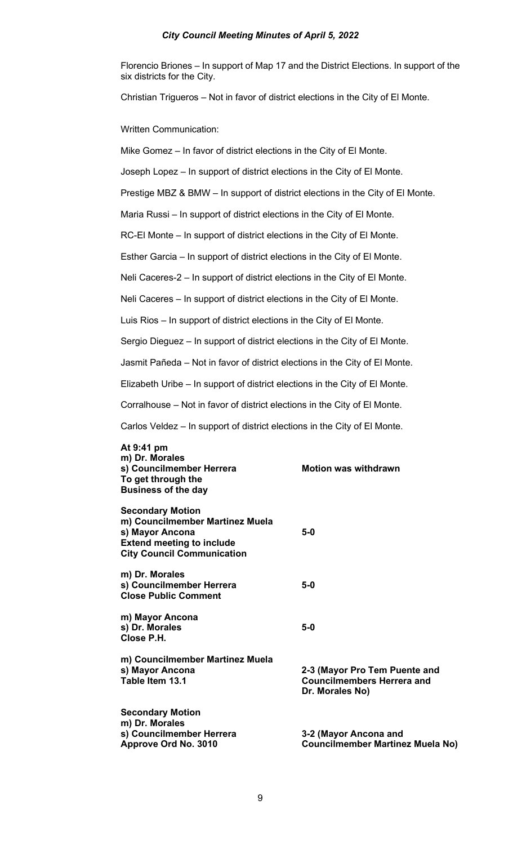Florencio Briones – In support of Map 17 and the District Elections. In support of the six districts for the City.

Christian Trigueros – Not in favor of district elections in the City of El Monte.

Written Communication:

Mike Gomez – In favor of district elections in the City of El Monte.

Joseph Lopez – In support of district elections in the City of El Monte.

Prestige MBZ & BMW – In support of district elections in the City of El Monte.

Maria Russi – In support of district elections in the City of El Monte.

RC-El Monte – In support of district elections in the City of El Monte.

Esther Garcia – In support of district elections in the City of El Monte.

Neli Caceres-2 – In support of district elections in the City of El Monte.

Neli Caceres – In support of district elections in the City of El Monte.

Luis Rios – In support of district elections in the City of El Monte.

Sergio Dieguez – In support of district elections in the City of El Monte.

Jasmit Pañeda – Not in favor of district elections in the City of El Monte.

Elizabeth Uribe – In support of district elections in the City of El Monte.

Corralhouse – Not in favor of district elections in the City of El Monte.

Carlos Veldez – In support of district elections in the City of El Monte.

| At 9:41 pm<br>m) Dr. Morales<br>s) Councilmember Herrera<br>To get through the<br><b>Business of the day</b>                                           | <b>Motion was withdrawn</b>                                                           |
|--------------------------------------------------------------------------------------------------------------------------------------------------------|---------------------------------------------------------------------------------------|
| <b>Secondary Motion</b><br>m) Councilmember Martinez Muela<br>s) Mayor Ancona<br><b>Extend meeting to include</b><br><b>City Council Communication</b> | 5-0                                                                                   |
| m) Dr. Morales<br>s) Councilmember Herrera<br><b>Close Public Comment</b>                                                                              | $5-0$                                                                                 |
| m) Mayor Ancona<br>s) Dr. Morales<br>Close P.H.                                                                                                        | $5-0$                                                                                 |
| m) Councilmember Martinez Muela<br>s) Mayor Ancona<br>Table Item 13.1                                                                                  | 2-3 (Mayor Pro Tem Puente and<br><b>Councilmembers Herrera and</b><br>Dr. Morales No) |
| <b>Secondary Motion</b><br>m) Dr. Morales<br>s) Councilmember Herrera<br>Approve Ord No. 3010                                                          | 3-2 (Mayor Ancona and<br><b>Councilmember Martinez Muela No)</b>                      |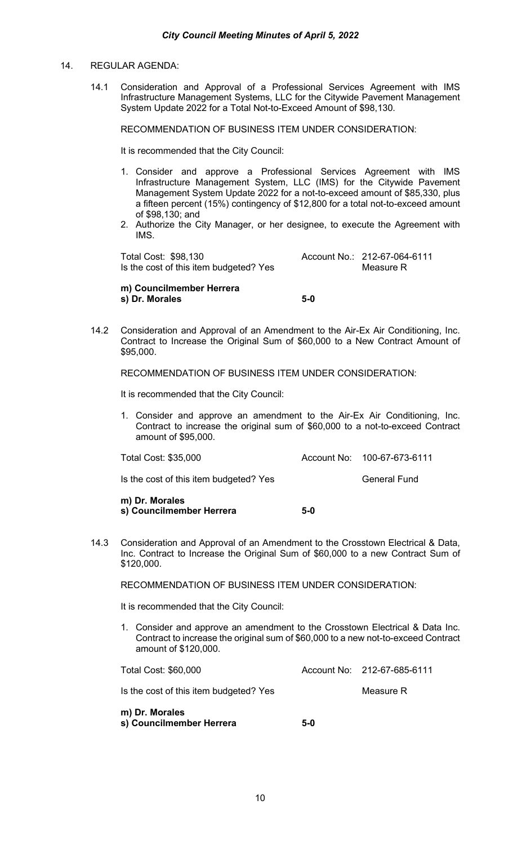# 14. REGULAR AGENDA:

14.1 Consideration and Approval of a Professional Services Agreement with IMS Infrastructure Management Systems, LLC for the Citywide Pavement Management System Update 2022 for a Total Not-to-Exceed Amount of \$98,130.

RECOMMENDATION OF BUSINESS ITEM UNDER CONSIDERATION:

It is recommended that the City Council:

- 1. Consider and approve a Professional Services Agreement with IMS Infrastructure Management System, LLC (IMS) for the Citywide Pavement Management System Update 2022 for a not-to-exceed amount of \$85,330, plus a fifteen percent (15%) contingency of \$12,800 for a total not-to-exceed amount of \$98,130; and
- 2. Authorize the City Manager, or her designee, to execute the Agreement with IMS.

Total Cost: \$98,130 Account No.: 212-67-064-6111 Is the cost of this item budgeted? Yes Measure R

# **m) Councilmember Herrera s) Dr. Morales 5-0**

14.2 Consideration and Approval of an Amendment to the Air-Ex Air Conditioning, Inc. Contract to Increase the Original Sum of \$60,000 to a New Contract Amount of \$95,000.

RECOMMENDATION OF BUSINESS ITEM UNDER CONSIDERATION:

It is recommended that the City Council:

1. Consider and approve an amendment to the Air-Ex Air Conditioning, Inc. Contract to increase the original sum of \$60,000 to a not-to-exceed Contract amount of \$95,000.

Total Cost: \$35,000 Account No: 100-67-673-6111

Is the cost of this item budgeted? Yes General Fund

**m) Dr. Morales s) Councilmember Herrera 5-0**

14.3 Consideration and Approval of an Amendment to the Crosstown Electrical & Data, Inc. Contract to Increase the Original Sum of \$60,000 to a new Contract Sum of \$120,000.

RECOMMENDATION OF BUSINESS ITEM UNDER CONSIDERATION:

It is recommended that the City Council:

1. Consider and approve an amendment to the Crosstown Electrical & Data Inc. Contract to increase the original sum of \$60,000 to a new not-to-exceed Contract amount of \$120,000.

| Total Cost: \$60,000                       |       | Account No: 212-67-685-6111 |
|--------------------------------------------|-------|-----------------------------|
| Is the cost of this item budgeted? Yes     |       | Measure R                   |
| m) Dr. Morales<br>s) Councilmember Herrera | $5-0$ |                             |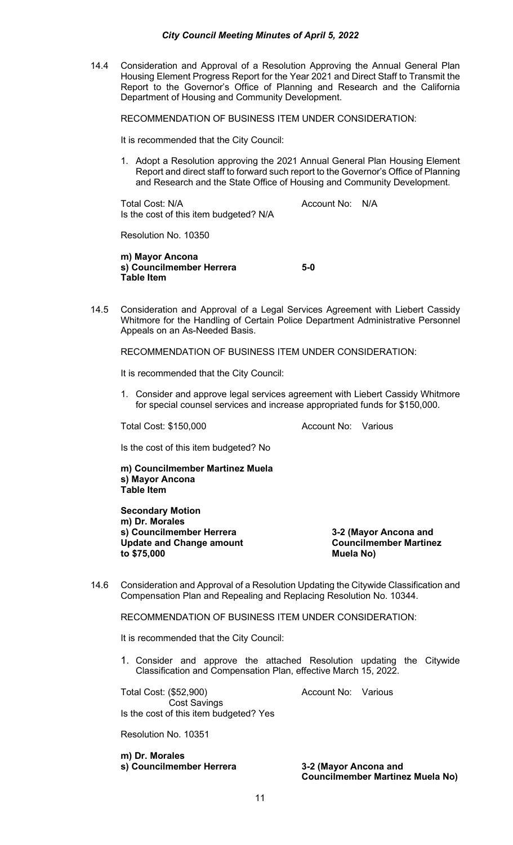14.4 Consideration and Approval of a Resolution Approving the Annual General Plan Housing Element Progress Report for the Year 2021 and Direct Staff to Transmit the Report to the Governor's Office of Planning and Research and the California Department of Housing and Community Development.

RECOMMENDATION OF BUSINESS ITEM UNDER CONSIDERATION:

It is recommended that the City Council:

1. Adopt a Resolution approving the 2021 Annual General Plan Housing Element Report and direct staff to forward such report to the Governor's Office of Planning and Research and the State Office of Housing and Community Development.

Total Cost: N/A and Total Cost: N/A Is the cost of this item budgeted? N/A

Resolution No. 10350

**m) Mayor Ancona s) Councilmember Herrera 5-0 Table Item**

14.5 Consideration and Approval of a Legal Services Agreement with Liebert Cassidy Whitmore for the Handling of Certain Police Department Administrative Personnel Appeals on an As-Needed Basis.

RECOMMENDATION OF BUSINESS ITEM UNDER CONSIDERATION:

It is recommended that the City Council:

1. Consider and approve legal services agreement with Liebert Cassidy Whitmore for special counsel services and increase appropriated funds for \$150,000.

Total Cost: \$150,000 Account No: Various

Is the cost of this item budgeted? No

**m) Councilmember Martinez Muela s) Mayor Ancona Table Item**

**Secondary Motion m) Dr. Morales s) Councilmember Herrera 3-2 (Mayor Ancona and**  Update and Change amount<br> **Councilme**<br> **Councilme**<br> **Councilme**<br> **Muela No to \$75,000 Muela No)**

14.6 Consideration and Approval of a Resolution Updating the Citywide Classification and Compensation Plan and Repealing and Replacing Resolution No. 10344.

RECOMMENDATION OF BUSINESS ITEM UNDER CONSIDERATION:

It is recommended that the City Council:

1. Consider and approve the attached Resolution updating the Citywide Classification and Compensation Plan, effective March 15, 2022.

Total Cost: (\$52,900) Account No: Various Cost Savings Is the cost of this item budgeted? Yes

Resolution No. 10351

**m) Dr. Morales s) Councilmember Herrera 3-2 (Mayor Ancona and** 

**Councilmember Martinez Muela No)**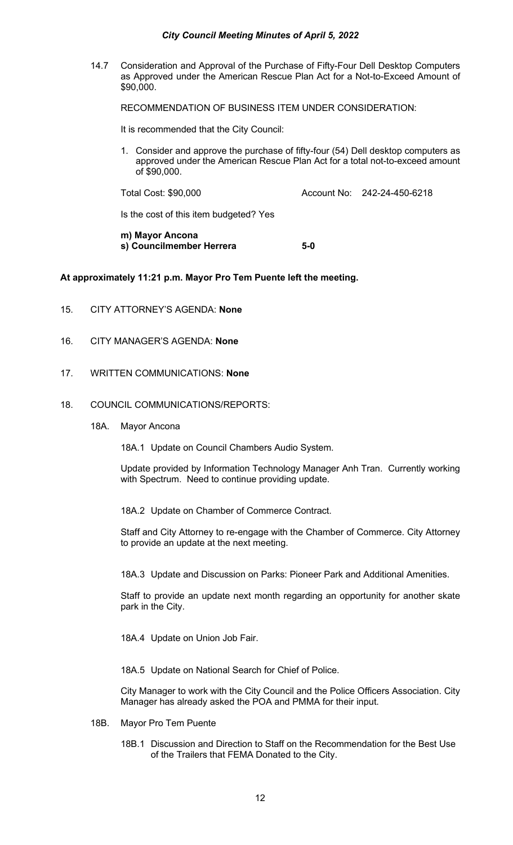14.7 Consideration and Approval of the Purchase of Fifty-Four Dell Desktop Computers as Approved under the American Rescue Plan Act for a Not-to-Exceed Amount of \$90,000.

RECOMMENDATION OF BUSINESS ITEM UNDER CONSIDERATION:

It is recommended that the City Council:

1. Consider and approve the purchase of fifty-four (54) Dell desktop computers as approved under the American Rescue Plan Act for a total not-to-exceed amount of \$90,000.

Total Cost: \$90,000 Account No: 242-24-450-6218

Is the cost of this item budgeted? Yes

**m) Mayor Ancona s) Councilmember Herrera 5-0**

# **At approximately 11:21 p.m. Mayor Pro Tem Puente left the meeting.**

- 15. CITY ATTORNEY'S AGENDA: **None**
- 16. CITY MANAGER'S AGENDA: **None**
- 17. WRITTEN COMMUNICATIONS: **None**
- 18. COUNCIL COMMUNICATIONS/REPORTS:
	- 18A. Mayor Ancona

18A.1 Update on Council Chambers Audio System.

Update provided by Information Technology Manager Anh Tran. Currently working with Spectrum. Need to continue providing update.

18A.2 Update on Chamber of Commerce Contract.

Staff and City Attorney to re-engage with the Chamber of Commerce. City Attorney to provide an update at the next meeting.

18A.3 Update and Discussion on Parks: Pioneer Park and Additional Amenities.

Staff to provide an update next month regarding an opportunity for another skate park in the City.

18A.4 Update on Union Job Fair.

18A.5 Update on National Search for Chief of Police.

City Manager to work with the City Council and the Police Officers Association. City Manager has already asked the POA and PMMA for their input.

- 18B. Mayor Pro Tem Puente
	- 18B.1 Discussion and Direction to Staff on the Recommendation for the Best Use of the Trailers that FEMA Donated to the City.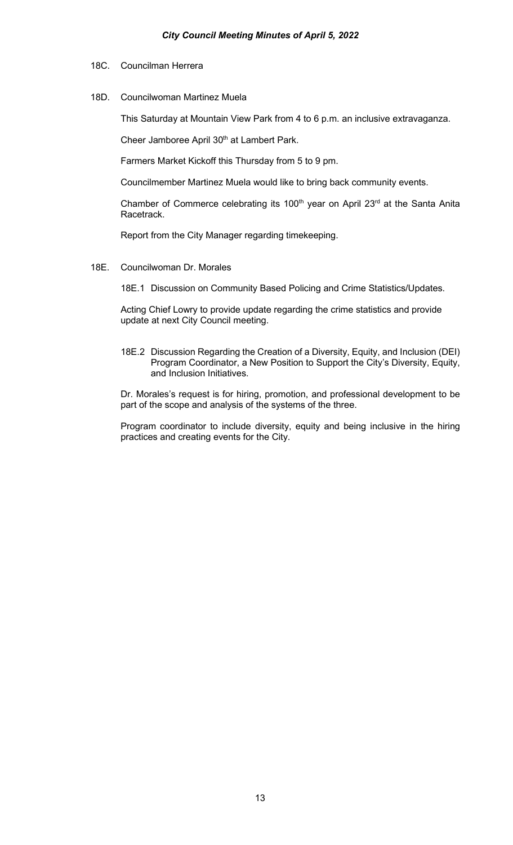- 18C. Councilman Herrera
- 18D. Councilwoman Martinez Muela

This Saturday at Mountain View Park from 4 to 6 p.m. an inclusive extravaganza.

Cheer Jamboree April 30<sup>th</sup> at Lambert Park.

Farmers Market Kickoff this Thursday from 5 to 9 pm.

Councilmember Martinez Muela would like to bring back community events.

Chamber of Commerce celebrating its 100<sup>th</sup> year on April 23<sup>rd</sup> at the Santa Anita Racetrack.

Report from the City Manager regarding timekeeping.

18E. Councilwoman Dr. Morales

18E.1 Discussion on Community Based Policing and Crime Statistics/Updates.

Acting Chief Lowry to provide update regarding the crime statistics and provide update at next City Council meeting.

18E.2 Discussion Regarding the Creation of a Diversity, Equity, and Inclusion (DEI) Program Coordinator, a New Position to Support the City's Diversity, Equity, and Inclusion Initiatives.

Dr. Morales's request is for hiring, promotion, and professional development to be part of the scope and analysis of the systems of the three.

Program coordinator to include diversity, equity and being inclusive in the hiring practices and creating events for the City.